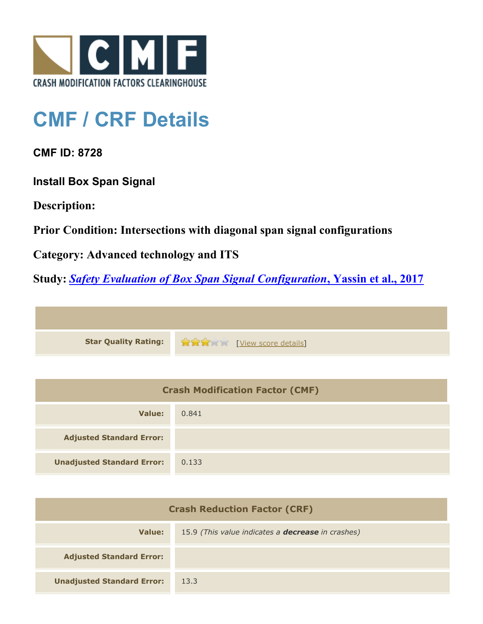

## **CMF / CRF Details**

**CMF ID: 8728**

**Install Box Span Signal**

**Description:** 

**Prior Condition: Intersections with diagonal span signal configurations**

**Category: Advanced technology and ITS**

**Study:** *[Safety Evaluation of Box Span Signal Configuration](http://www.cmfclearinghouse.org/study_detail.cfm?stid=484)***[, Yassin et al., 2017](http://www.cmfclearinghouse.org/study_detail.cfm?stid=484)**



| <b>Crash Modification Factor (CMF)</b> |       |  |
|----------------------------------------|-------|--|
| Value:                                 | 0.841 |  |
| <b>Adjusted Standard Error:</b>        |       |  |
| <b>Unadjusted Standard Error:</b>      | 0.133 |  |

| <b>Crash Reduction Factor (CRF)</b> |                                                          |
|-------------------------------------|----------------------------------------------------------|
| Value:                              | 15.9 (This value indicates a <b>decrease</b> in crashes) |
| <b>Adjusted Standard Error:</b>     |                                                          |
| <b>Unadjusted Standard Error:</b>   | 13.3                                                     |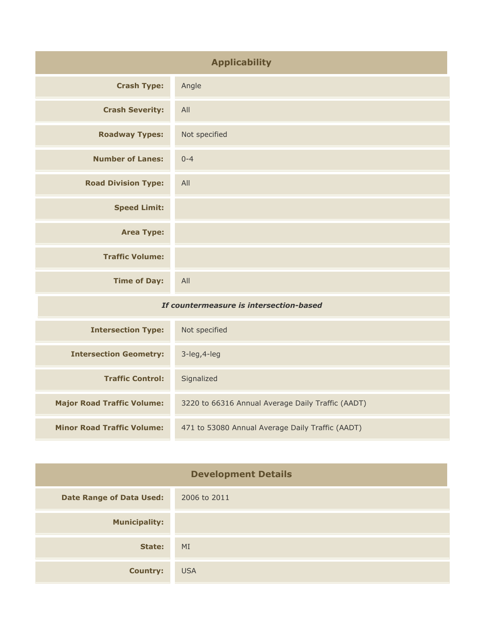| <b>Applicability</b>                    |               |
|-----------------------------------------|---------------|
| <b>Crash Type:</b>                      | Angle         |
| <b>Crash Severity:</b>                  | All           |
| <b>Roadway Types:</b>                   | Not specified |
| <b>Number of Lanes:</b>                 | $0 - 4$       |
| <b>Road Division Type:</b>              | All           |
| <b>Speed Limit:</b>                     |               |
| <b>Area Type:</b>                       |               |
| <b>Traffic Volume:</b>                  |               |
| <b>Time of Day:</b>                     | All           |
| If countermeasure is intersection-based |               |

| <b>Intersection Type:</b>         | Not specified                                     |
|-----------------------------------|---------------------------------------------------|
| <b>Intersection Geometry:</b>     | $3$ -leg, $4$ -leg                                |
| <b>Traffic Control:</b>           | Signalized                                        |
| <b>Major Road Traffic Volume:</b> | 3220 to 66316 Annual Average Daily Traffic (AADT) |
| <b>Minor Road Traffic Volume:</b> | 471 to 53080 Annual Average Daily Traffic (AADT)  |

| <b>Development Details</b>      |              |
|---------------------------------|--------------|
| <b>Date Range of Data Used:</b> | 2006 to 2011 |
| <b>Municipality:</b>            |              |
| State:                          | MI           |
| <b>Country:</b>                 | <b>USA</b>   |